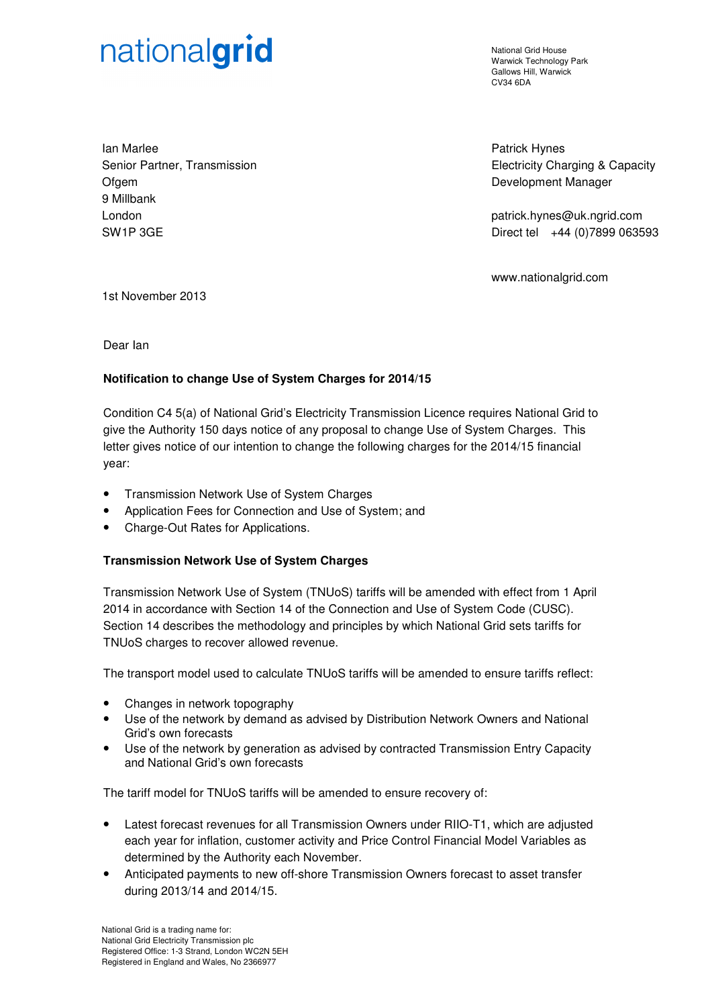# nationalgrid

National Grid House Warwick Technology Park Gallows Hill, Warwick CV34 6DA

Ian Marlee Senior Partner, Transmission **Ofgem** 9 Millbank London SW1P 3GE

Patrick Hynes Electricity Charging & Capacity Development Manager

patrick.hynes@uk.ngrid.com Direct tel +44 (0)7899 063593

www.nationalgrid.com

1st November 2013

Dear Ian

# **Notification to change Use of System Charges for 2014/15**

Condition C4 5(a) of National Grid's Electricity Transmission Licence requires National Grid to give the Authority 150 days notice of any proposal to change Use of System Charges. This letter gives notice of our intention to change the following charges for the 2014/15 financial year:

- Transmission Network Use of System Charges
- Application Fees for Connection and Use of System; and
- Charge-Out Rates for Applications.

## **Transmission Network Use of System Charges**

Transmission Network Use of System (TNUoS) tariffs will be amended with effect from 1 April 2014 in accordance with Section 14 of the Connection and Use of System Code (CUSC). Section 14 describes the methodology and principles by which National Grid sets tariffs for TNUoS charges to recover allowed revenue.

The transport model used to calculate TNUoS tariffs will be amended to ensure tariffs reflect:

- Changes in network topography
- Use of the network by demand as advised by Distribution Network Owners and National Grid's own forecasts
- Use of the network by generation as advised by contracted Transmission Entry Capacity and National Grid's own forecasts

The tariff model for TNUoS tariffs will be amended to ensure recovery of:

- Latest forecast revenues for all Transmission Owners under RIIO-T1, which are adjusted each year for inflation, customer activity and Price Control Financial Model Variables as determined by the Authority each November.
- Anticipated payments to new off-shore Transmission Owners forecast to asset transfer during 2013/14 and 2014/15.